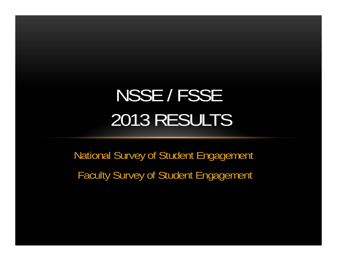# NSSE / FSSE 2013 RESULTS

National Survey of Student Engagement Faculty Survey of Student Engagement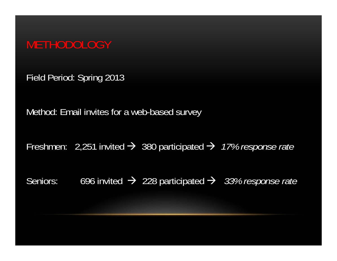#### METHODOLOGY

Field Period: Spring 2013

Method: Email invites for a web-based survey

Freshmen: 2,251 invited  $\rightarrow$  380 participated  $\rightarrow$  17% response rate

Seniors: 696 invited → 228 participated → 33% response rate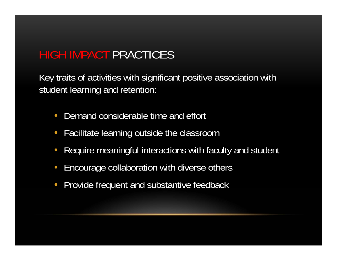### HIGH IMPACT PRACTICES

Key traits of activities with significant positive association with student learning and retention:

- •Demand considerable time and effort
- •Facilitate learning outside the classroom
- •Require meaningful interactions with faculty and student
- $\bullet$ Encourage collaboration with diverse others
- •Provide frequent and substantive feedback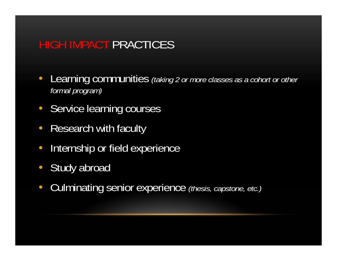#### HIGH IMPACT PRACTICES

- Learning communities *(taking 2 or more classes as a cohort or other formal program)*
- Service learning courses
- Research with faculty
- $\bullet$ Internship or field experience
- $\bullet$ **Study abroad**
- $\bullet$ Culminating senior experience *(thesis, capstone, etc.)*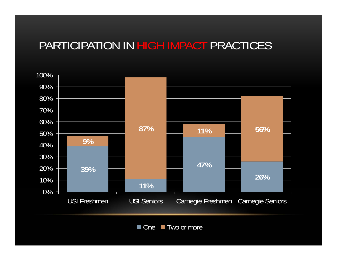#### PARTICIPATION IN HIGH IMPACT PRACTICES



One ■ Two or more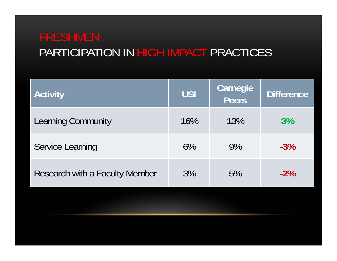# FRESHMEN PARTICIPATION IN HIGH IMPACT PRACTICES

| <b>Activity</b>                | <b>USI</b> | Carnegie<br><b>Peers</b> | <b>Difference</b> |
|--------------------------------|------------|--------------------------|-------------------|
| <b>Learning Community</b>      | 16%        | 13%                      | 3%                |
| <b>Service Learning</b>        | 6%         | $9\%$                    | $-3%$             |
| Research with a Faculty Member | 3%         | 5%                       | $-2\%$            |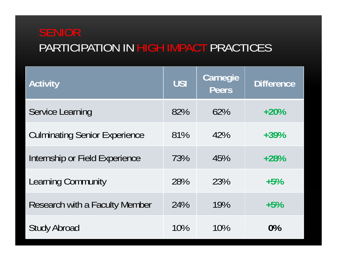# PARTICIPATION IN HIGH IMPACT PRACTICES

| <b>Activity</b>                      | USI | Carnegie<br><b>Peers</b> | <b>Difference</b> |
|--------------------------------------|-----|--------------------------|-------------------|
| <b>Service Learning</b>              | 82% | 62%                      | $+20%$            |
| <b>Culminating Senior Experience</b> | 81% | 42%                      | $+39%$            |
| Internship or Field Experience       | 73% | 45%                      | $+28%$            |
| <b>Learning Community</b>            | 28% | 23%                      | $+5%$             |
| Research with a Faculty Member       | 24% | 19%                      | $+5%$             |
| <b>Study Abroad</b>                  | 10% | 10%                      | $0\%$             |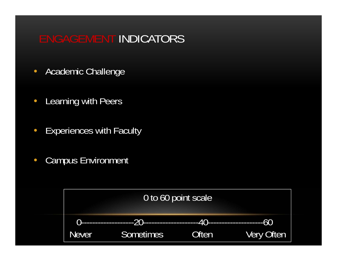#### ENGAGEMENT INDICATORS

- •**Academic Challenge**
- $\bullet$ Learning with Peers
- $\bullet$ Experiences with Faculty
- $\bullet$ Campus Environment

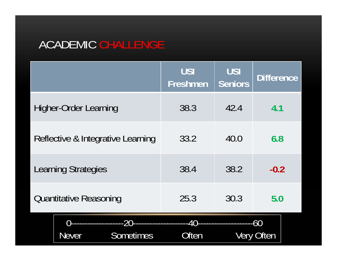#### ACADEMIC CHALLENGE

|                                                           | <b>USI</b><br><b>Freshmen</b> | <b>USI</b><br><b>Seniors</b> | <b>Difference</b>  |
|-----------------------------------------------------------|-------------------------------|------------------------------|--------------------|
| <b>Higher-Order Learning</b>                              | 38.3                          | 42.4                         | 4.1                |
| Reflective & Integrative Learning                         | 33.2                          | 40.0                         | 6.8                |
| <b>Learning Strategies</b>                                | 38.4                          | 38.2                         | $-0.2$             |
| <b>Quantitative Reasoning</b>                             | 25.3                          | 30.3                         | 5.0                |
| 20-------------------<br><b>Sometimes</b><br><b>Never</b> | <b>Often</b>                  | 40------------------         | --60<br>Very Often |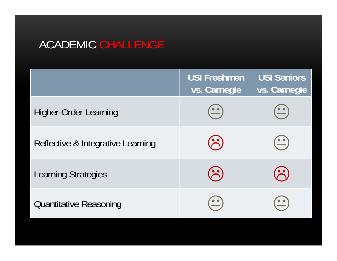#### ACADEMIC CHALLENGE

|                                   | USI Freshmen<br>vs. Carnegie       | <b>USI Seniors</b><br>vs. Carnegie                                                   |
|-----------------------------------|------------------------------------|--------------------------------------------------------------------------------------|
| <b>Higher-Order Learning</b>      | $\left(\frac{\cdot}{\cdot}\right)$ | $\left( \begin{array}{c} \bullet & \bullet \\ \bullet & \bullet \end{array} \right)$ |
| Reflective & Integrative Learning | $\mathcal{S}'$                     | $\cdot$                                                                              |
| <b>Learning Strategies</b>        |                                    |                                                                                      |
| <b>Quantitative Reasoning</b>     |                                    |                                                                                      |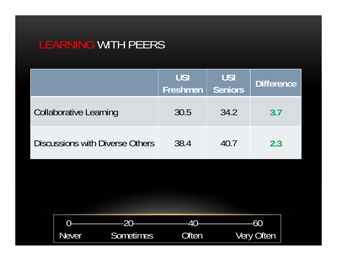#### LEARNING WITH PEERS

|                                 | <b>USI</b><br>Freshmen Seniors | <b>USI</b> | <b>Difference</b> |
|---------------------------------|--------------------------------|------------|-------------------|
| <b>Collaborative Learning</b>   | 30.5                           | 34.2       | 3.7               |
| Discussions with Diverse Others | 38.4                           | 40 /       | 2.3               |

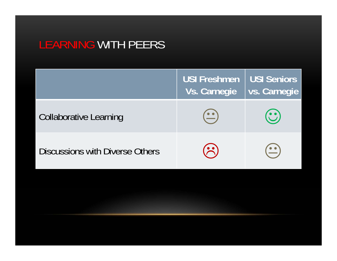#### LEARNING WITH PEERS

|                                 | USI Freshmen   USI Seniors<br>Vs. Carnegie | vs. Carnegie |
|---------------------------------|--------------------------------------------|--------------|
| <b>Collaborative Learning</b>   |                                            |              |
| Discussions with Diverse Others |                                            |              |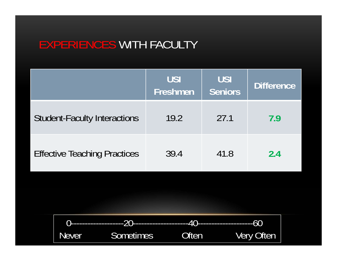#### EXPERIENCES WITH FACULTY

|                                     | <b>USI</b><br>Freshmen | <b>USI</b><br><b>Seniors</b> | <b>Difference</b> |
|-------------------------------------|------------------------|------------------------------|-------------------|
| <b>Student-Faculty Interactions</b> | 19.2                   | 27.1                         | 7.9               |
| <b>Effective Teaching Practices</b> | 39.4                   | 41.8                         | 2.4               |

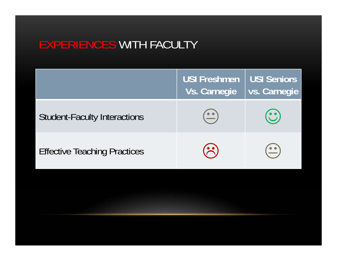#### EXPERIENCES WITH FACULTY

|                                     | USI Freshmen<br>Vs. Carnegie | USI Seniors<br>$\sqrt{}$ vs. Carnegie |
|-------------------------------------|------------------------------|---------------------------------------|
| <b>Student-Faculty Interactions</b> |                              |                                       |
| <b>Effective Teaching Practices</b> |                              |                                       |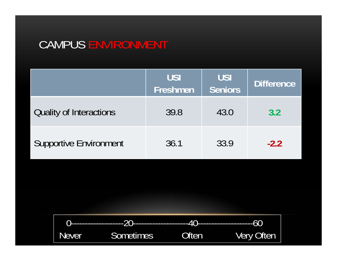#### CAMPUS ENVIRONMENT

|                                | USI<br>Freshmen | <b>USI</b><br>Seniors | <b>Difference</b> |
|--------------------------------|-----------------|-----------------------|-------------------|
| <b>Quality of Interactions</b> | 39.8            | 43.0                  | 3.2               |
| <b>Supportive Environment</b>  | 36.1            | 33.9                  | $-2.2$            |

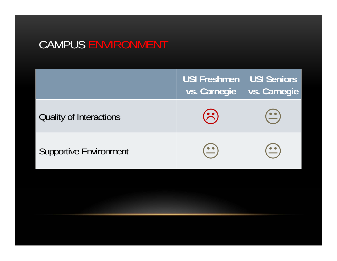#### CAMPUS ENVIRONMENT

|                                | <b>USI Freshmen</b><br>vs. Carnegie | USI Seniors<br><b>Vs. Carnegie</b> |
|--------------------------------|-------------------------------------|------------------------------------|
| <b>Quality of Interactions</b> |                                     |                                    |
| <b>Supportive Environment</b>  |                                     |                                    |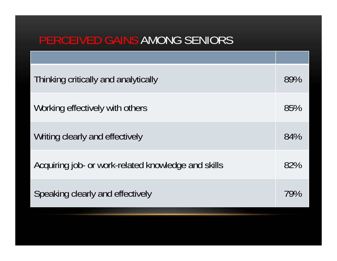#### PERCEIVED GAINS AMONG SENIORS

| Thinking critically and analytically                | 89% |
|-----------------------------------------------------|-----|
| Working effectively with others                     | 85% |
| Writing clearly and effectively                     | 84% |
| Acquiring job- or work-related knowledge and skills | 82% |
| Speaking clearly and effectively                    | 79% |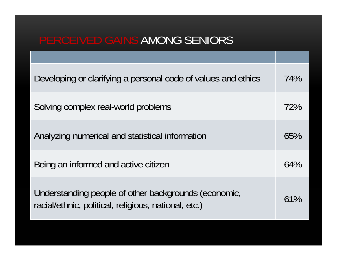#### PERCEIVED GAINS AMONG SENIORS

| Developing or clarifying a personal code of values and ethics                                                | 74% |
|--------------------------------------------------------------------------------------------------------------|-----|
| Solving complex real-world problems                                                                          | 72% |
| Analyzing numerical and statistical information                                                              | 65% |
| Being an informed and active citizen                                                                         | 64% |
| Understanding people of other backgrounds (economic,<br>racial/ethnic, political, religious, national, etc.) | 61% |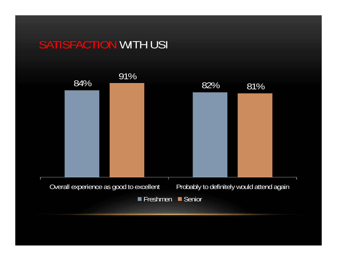#### SATISFACTION WITH USI

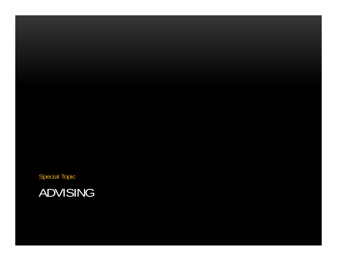ADVISING Special Topic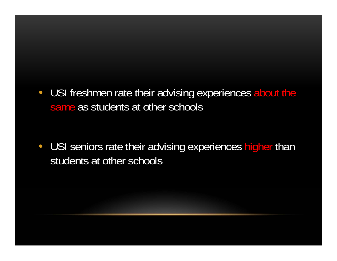• USI freshmen rate their advising experiences about the same as students at other schools

• USI seniors rate their advising experiences higher than students at other schools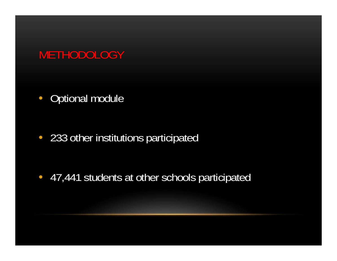#### METHODOLOGY

• Optional module

• 233 other institutions participated

• 47,441 students at other schools participated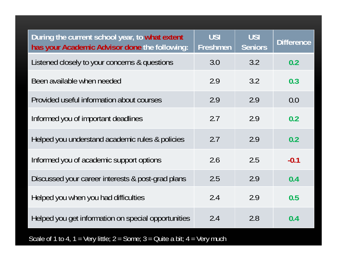| During the current school year, to what extent<br>has your Academic Advisor done the following: | <b>USI</b><br><b>Freshmen</b> | <b>USI</b><br><b>Seniors</b> | <b>Difference</b> |  |
|-------------------------------------------------------------------------------------------------|-------------------------------|------------------------------|-------------------|--|
| Listened closely to your concerns & questions                                                   | 3.0                           | 3.2                          | 0.2               |  |
| Been available when needed                                                                      | 2.9                           | 3.2                          | 0.3               |  |
| Provided useful information about courses                                                       | 2.9                           | 2.9                          | 0.0               |  |
| Informed you of important deadlines                                                             | 2.7                           | 2.9                          | 0.2               |  |
| Helped you understand academic rules & policies                                                 | 2.7                           | 2.9                          | 0.2               |  |
| Informed you of academic support options                                                        | 2.6                           | 2.5                          | $-0.1$            |  |
| Discussed your career interests & post-grad plans                                               | 2.5                           | 2.9                          | 0.4               |  |
| Helped you when you had difficulties                                                            | 2.4                           | 2.9                          | 0.5               |  |
| Helped you get information on special opportunities                                             | 2.4                           | 2.8                          | 0.4               |  |
| Scale of 1 to 4, 1 = Very little; $2 = Some$ ; $3 = Quite$ a bit; $4 = Very$ much               |                               |                              |                   |  |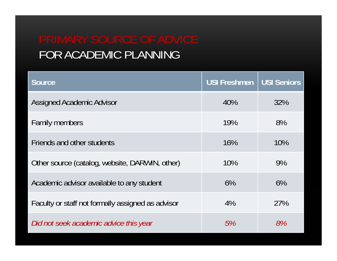# FOR ACADEMIC PLANNING

| <b>Source</b>                                     | USI Freshmen   USI Seniors |     |
|---------------------------------------------------|----------------------------|-----|
| <b>Assigned Academic Advisor</b>                  | 40%                        | 32% |
| <b>Family members</b>                             | 19%                        | 8%  |
| Friends and other students                        | 16%                        | 10% |
| Other source (catalog, website, DARWIN, other)    | 10%                        | 9%  |
| Academic advisor available to any student         | 6%                         | 6%  |
| Faculty or staff not formally assigned as advisor | $4\%$                      | 27% |
| Did not seek academic advice this year            | 5%                         | 8%  |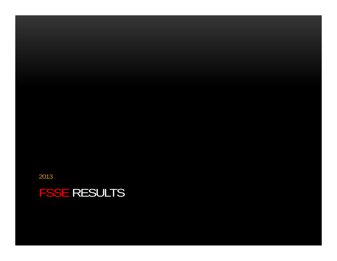# FSSE RESULTS 2013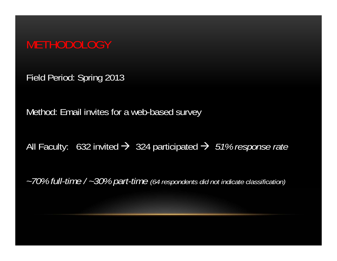#### METHODOLOGY

Field Period: Spring 2013

Method: Email invites for a web-based survey

All Faculty: 632 invited  $\rightarrow$  324 participated  $\rightarrow$  51% response rate

*~70% full-time / ~30% part-time (64 respondents did not indicate classification)*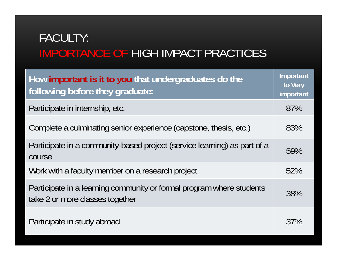# FACULTY: IMPORTANCE OF HIGH IMPACT PRACTICES

| How important is it to you that undergraduates do the<br>following before they graduate:                |     |
|---------------------------------------------------------------------------------------------------------|-----|
| Participate in internship, etc.                                                                         | 87% |
| Complete a culminating senior experience (capstone, thesis, etc.)                                       | 83% |
| Participate in a community-based project (service learning) as part of a<br>course                      | 59% |
| Work with a faculty member on a research project                                                        | 52% |
| Participate in a learning community or formal program where students<br>take 2 or more classes together | 38% |
| Participate in study abroad                                                                             | 37% |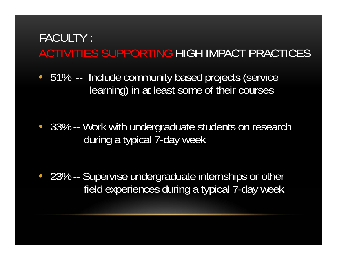# FACULTY : ACTIVITIES SUPPORTING HIGH IMPACT PRACTICES

- 51% -- Include community based projects (service learning) in at least some of their courses
- 33% -- Work with undergraduate students on research during a typical 7-day week
- 23% -- Supervise undergraduate internships or other field experiences during a typical 7-day week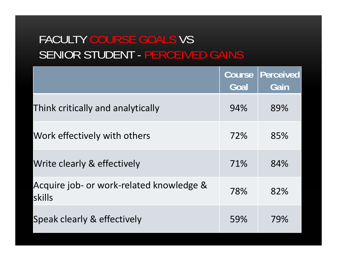# FACULTY COURSE GOALS VS SENIOR STUDENT - PERCEIVED GAINS

|                                                           | Course<br>Goal | <b>Perceived</b><br>Gain |
|-----------------------------------------------------------|----------------|--------------------------|
| Think critically and analytically                         | 94%            | 89%                      |
| Work effectively with others                              | 72%            | 85%                      |
| Write clearly & effectively                               | 71%            | 84%                      |
| Acquire job- or work-related knowledge &<br><b>skills</b> | 78%            | 82%                      |
| Speak clearly & effectively                               | 59%            | 79%                      |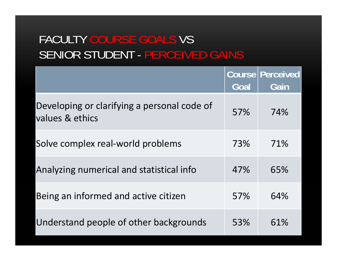# FACULTY COURSE GOALS VS SENIOR STUDENT - PERCEIVED GAINS

|                                                                | Goal | <b>Course Perceived</b><br>Gain |
|----------------------------------------------------------------|------|---------------------------------|
| Developing or clarifying a personal code of<br>values & ethics | 57%  | 74%                             |
| Solve complex real-world problems                              | 73%  | 71%                             |
| Analyzing numerical and statistical info                       | 47%  | 65%                             |
| Being an informed and active citizen                           | 57%  | 64%                             |
| Understand people of other backgrounds                         | 53%  | 61%                             |